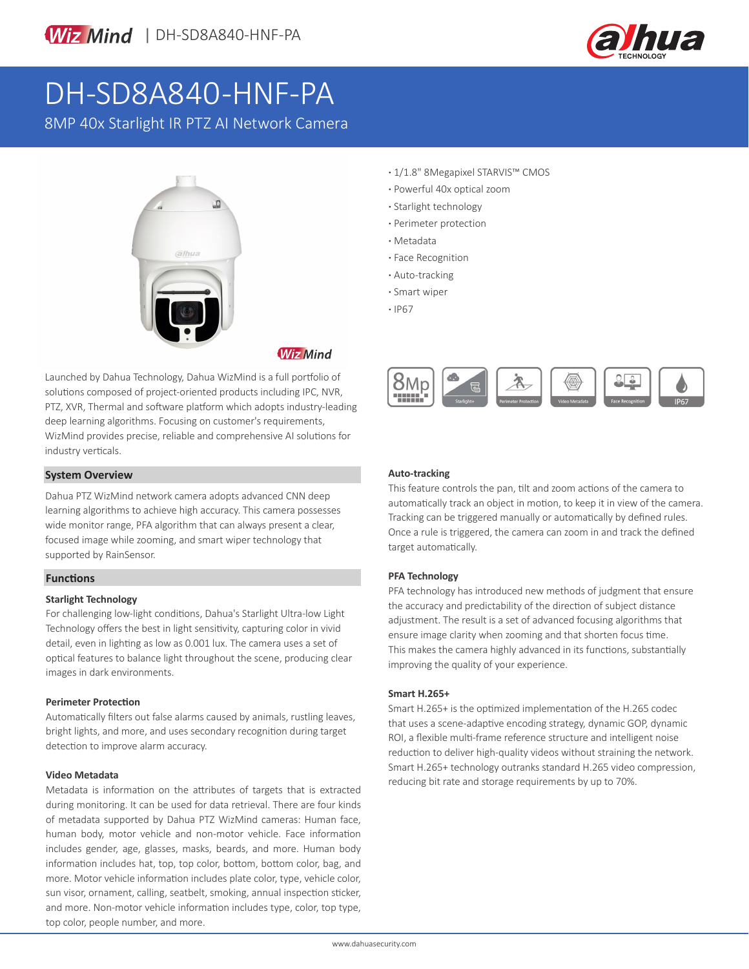



# DH-SD8A840-HNF-PA

8MP 40x Starlight IR PTZ AI Network Camera



**Wiz Mind** 

Launched by Dahua Technology, Dahua WizMind is a full portfolio of solutions composed of project-oriented products including IPC, NVR, PTZ, XVR, Thermal and software platform which adopts industry-leading deep learning algorithms. Focusing on customer's requirements, WizMind provides precise, reliable and comprehensive AI solutions for industry verticals.

#### **System Overview**

Dahua PTZ WizMind network camera adopts advanced CNN deep learning algorithms to achieve high accuracy. This camera possesses wide monitor range, PFA algorithm that can always present a clear, focused image while zooming, and smart wiper technology that supported by RainSensor.

#### **Functions**

#### **Starlight Technology**

For challenging low-light conditions, Dahua's Starlight Ultra-low Light Technology offers the best in light sensitivity, capturing color in vivid detail, even in lighting as low as 0.001 lux. The camera uses a set of optical features to balance light throughout the scene, producing clear images in dark environments.

#### **Perimeter Protection**

Automatically filters out false alarms caused by animals, rustling leaves, bright lights, and more, and uses secondary recognition during target detection to improve alarm accuracy.

#### **Video Metadata**

Metadata is information on the attributes of targets that is extracted during monitoring. It can be used for data retrieval. There are four kinds of metadata supported by Dahua PTZ WizMind cameras: Human face, human body, motor vehicle and non-motor vehicle. Face information includes gender, age, glasses, masks, beards, and more. Human body information includes hat, top, top color, bottom, bottom color, bag, and more. Motor vehicle information includes plate color, type, vehicle color, sun visor, ornament, calling, seatbelt, smoking, annual inspection sticker, and more. Non-motor vehicle information includes type, color, top type, top color, people number, and more.

- **·** 1/1.8" 8Megapixel STARVIS™ CMOS
- **·** Powerful 40x optical zoom
- **·** Starlight technology
- **·** Perimeter protection
- **·** Metadata
- **·** Face Recognition
- **·** Auto-tracking
- **·** Smart wiper
- **·** IP67



#### **Auto-tracking**

This feature controls the pan, tilt and zoom actions of the camera to automatically track an object in motion, to keep it in view of the camera. Tracking can be triggered manually or automatically by defined rules. Once a rule is triggered, the camera can zoom in and track the defined target automatically.

#### **PFA Technology**

PFA technology has introduced new methods of judgment that ensure the accuracy and predictability of the direction of subject distance adjustment. The result is a set of advanced focusing algorithms that ensure image clarity when zooming and that shorten focus time. This makes the camera highly advanced in its functions, substantially improving the quality of your experience.

#### **Smart H.265+**

Smart H.265+ is the optimized implementation of the H.265 codec that uses a scene-adaptive encoding strategy, dynamic GOP, dynamic ROI, a flexible multi-frame reference structure and intelligent noise reduction to deliver high-quality videos without straining the network. Smart H.265+ technology outranks standard H.265 video compression, reducing bit rate and storage requirements by up to 70%.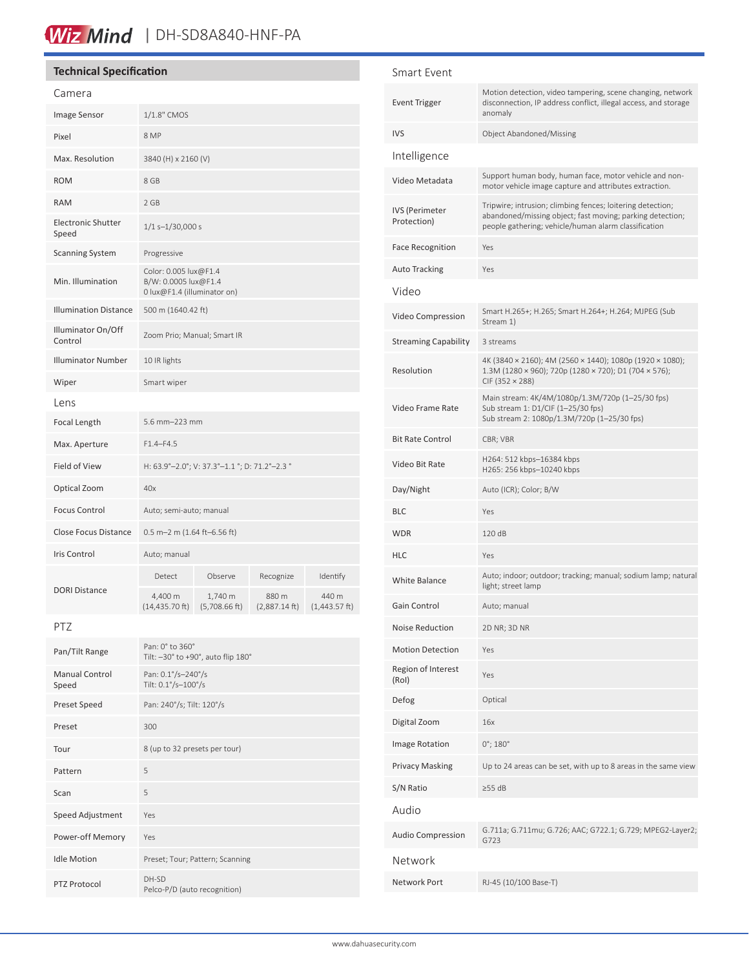### Wiz Mind | DH-SD8A840-HNF-PA

### **Technical Specification**

#### Camera

| Image Sensor                       | $1/1.8"$ CMOS                                                                |                                    |                          |                           |
|------------------------------------|------------------------------------------------------------------------------|------------------------------------|--------------------------|---------------------------|
| Pixel                              |                                                                              |                                    |                          |                           |
|                                    | 8 MP                                                                         |                                    |                          |                           |
| Max. Resolution                    | 3840 (H) x 2160 (V)                                                          |                                    |                          |                           |
| <b>ROM</b>                         | 8 GB                                                                         |                                    |                          |                           |
| <b>RAM</b>                         | 2 GB                                                                         |                                    |                          |                           |
| <b>Electronic Shutter</b><br>Speed | $1/1 s - 1/30,000 s$                                                         |                                    |                          |                           |
| <b>Scanning System</b>             | Progressive                                                                  |                                    |                          |                           |
| Min. Illumination                  | Color: 0.005 lux@F1.4<br>B/W: 0.0005 lux@F1.4<br>0 lux@F1.4 (illuminator on) |                                    |                          |                           |
| <b>Illumination Distance</b>       | 500 m (1640.42 ft)                                                           |                                    |                          |                           |
| Illuminator On/Off<br>Control      | Zoom Prio; Manual; Smart IR                                                  |                                    |                          |                           |
| <b>Illuminator Number</b>          | 10 IR lights                                                                 |                                    |                          |                           |
| Wiper                              | Smart wiper                                                                  |                                    |                          |                           |
| Lens                               |                                                                              |                                    |                          |                           |
| Focal Length                       | 5.6 mm-223 mm                                                                |                                    |                          |                           |
| Max. Aperture                      | $F1.4 - F4.5$                                                                |                                    |                          |                           |
| <b>Field of View</b>               | H: 63.9°-2.0°; V: 37.3°-1.1 °; D: 71.2°-2.3 °                                |                                    |                          |                           |
| Optical Zoom                       | 40x                                                                          |                                    |                          |                           |
| <b>Focus Control</b>               | Auto; semi-auto; manual                                                      |                                    |                          |                           |
| <b>Close Focus Distance</b>        | 0.5 m-2 m (1.64 ft-6.56 ft)                                                  |                                    |                          |                           |
| <b>Iris Control</b>                | Auto; manual                                                                 |                                    |                          |                           |
| <b>DORI Distance</b>               | Detect                                                                       | Observe                            | Recognize                | Identify                  |
|                                    | 4,400 m<br>$(14, 435.70$ ft)                                                 | 1,740 m<br>$(5,708.66 \text{ ft})$ | 880 m<br>$(2,887.14$ ft) | 440 m<br>$(1,443.57)$ ft) |

PTZ

| Pan/Tilt Range                 | Pan: 0° to 360°<br>Tilt: -30° to +90°, auto flip 180° |
|--------------------------------|-------------------------------------------------------|
| <b>Manual Control</b><br>Speed | Pan: 0.1°/s-240°/s<br>Tilt: 0.1°/s-100°/s             |
| Preset Speed                   | Pan: 240°/s; Tilt: 120°/s                             |
| Preset                         | 300                                                   |
| Tour                           | 8 (up to 32 presets per tour)                         |
| Pattern                        | 5                                                     |
| Scan                           | 5                                                     |
| Speed Adjustment               | Yes                                                   |
| Power-off Memory               | Yes                                                   |
| <b>Idle Motion</b>             | Preset; Tour; Pattern; Scanning                       |
| <b>PTZ Protocol</b>            | DH-SD<br>Pelco-P/D (auto recognition)                 |

| Smart Event                   |                                                                                                                                                                                 |
|-------------------------------|---------------------------------------------------------------------------------------------------------------------------------------------------------------------------------|
| <b>Event Trigger</b>          | Motion detection, video tampering, scene changing, network<br>disconnection, IP address conflict, illegal access, and storage<br>anomaly                                        |
| <b>IVS</b>                    | <b>Object Abandoned/Missing</b>                                                                                                                                                 |
| Intelligence                  |                                                                                                                                                                                 |
| Video Metadata                | Support human body, human face, motor vehicle and non-<br>motor vehicle image capture and attributes extraction.                                                                |
| IVS (Perimeter<br>Protection) | Tripwire; intrusion; climbing fences; loitering detection;<br>abandoned/missing object; fast moving; parking detection;<br>people gathering; vehicle/human alarm classification |
| <b>Face Recognition</b>       | Yes                                                                                                                                                                             |
| <b>Auto Tracking</b>          | Yes                                                                                                                                                                             |
| Video                         |                                                                                                                                                                                 |
| Video Compression             | Smart H.265+; H.265; Smart H.264+; H.264; MJPEG (Sub<br>Stream 1)                                                                                                               |
| <b>Streaming Capability</b>   | 3 streams                                                                                                                                                                       |
| Resolution                    | 4K (3840 × 2160); 4M (2560 × 1440); 1080p (1920 × 1080);<br>1.3M (1280 × 960); 720p (1280 × 720); D1 (704 × 576);<br>$CIF$ (352 $\times$ 288)                                   |
| Video Frame Rate              | Main stream: 4K/4M/1080p/1.3M/720p (1-25/30 fps)<br>Sub stream 1: D1/CIF (1-25/30 fps)<br>Sub stream 2: 1080p/1.3M/720p (1-25/30 fps)                                           |
| <b>Bit Rate Control</b>       | CBR; VBR                                                                                                                                                                        |
| Video Bit Rate                | H264: 512 kbps-16384 kbps<br>H265: 256 kbps-10240 kbps                                                                                                                          |
| Day/Night                     | Auto (ICR); Color; B/W                                                                                                                                                          |
| <b>BLC</b>                    | Yes                                                                                                                                                                             |
| <b>WDR</b>                    | 120 dB                                                                                                                                                                          |
| <b>HLC</b>                    | Yes                                                                                                                                                                             |
| White Balance                 | Auto; indoor; outdoor; tracking; manual; sodium lamp; natural<br>light; street lamp                                                                                             |
| Gain Control                  | Auto; manual                                                                                                                                                                    |
| Noise Reduction               | 2D NR; 3D NR                                                                                                                                                                    |
| <b>Motion Detection</b>       | Yes                                                                                                                                                                             |
| Region of Interest<br>(Rol)   | Yes                                                                                                                                                                             |
| Defog                         | Optical                                                                                                                                                                         |
| Digital Zoom                  | 16x                                                                                                                                                                             |
| Image Rotation                | $0^{\circ}$ ; 180 $^{\circ}$                                                                                                                                                    |
| <b>Privacy Masking</b>        | Up to 24 areas can be set, with up to 8 areas in the same view                                                                                                                  |
| S/N Ratio                     | $\geq$ 55 dB                                                                                                                                                                    |
| Audio                         |                                                                                                                                                                                 |
| <b>Audio Compression</b>      | G.711a; G.711mu; G.726; AAC; G722.1; G.729; MPEG2-Layer2;<br>G723                                                                                                               |
| Network                       |                                                                                                                                                                                 |
| Network Port                  | RJ-45 (10/100 Base-T)                                                                                                                                                           |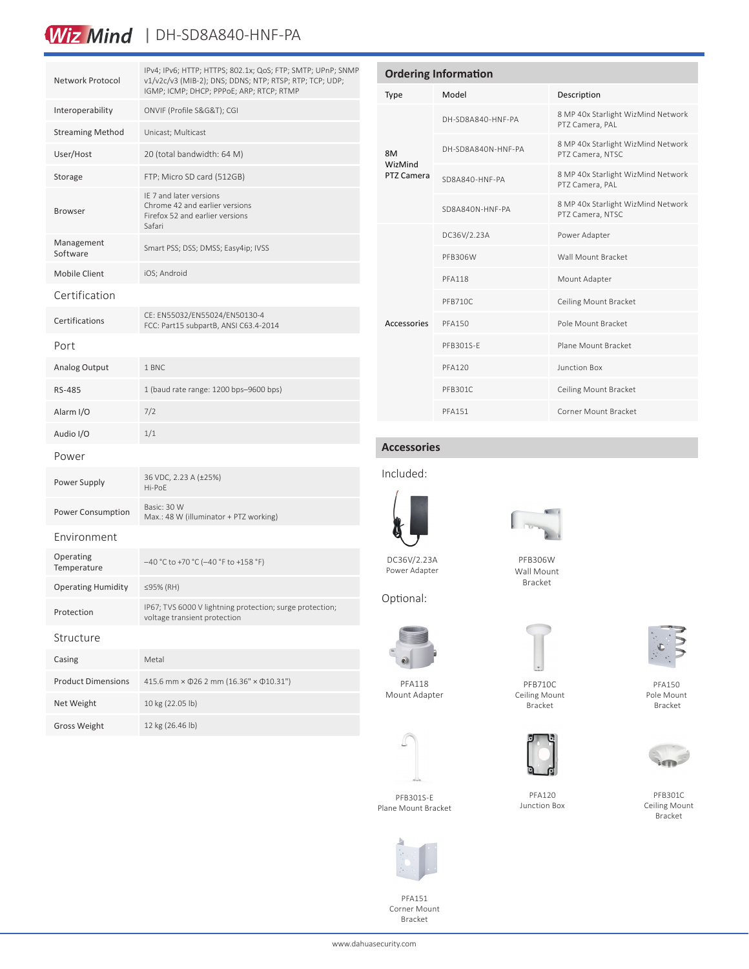# Wiz Mind | DH-SD8A840-HNF-PA

| Network Protocol          | IPv4; IPv6; HTTP; HTTPS; 802.1x; QoS; FTP; SMTP; UPnP; SNMP<br>v1/v2c/v3 (MIB-2); DNS; DDNS; NTP; RTSP; RTP; TCP; UDP;<br>IGMP; ICMP; DHCP; PPPoE; ARP; RTCP; RTMP |  |
|---------------------------|--------------------------------------------------------------------------------------------------------------------------------------------------------------------|--|
| Interoperability          | ONVIF (Profile S&G&T); CGI                                                                                                                                         |  |
| <b>Streaming Method</b>   | Unicast; Multicast                                                                                                                                                 |  |
| User/Host                 | 20 (total bandwidth: 64 M)                                                                                                                                         |  |
| Storage                   | FTP; Micro SD card (512GB)                                                                                                                                         |  |
| <b>Browser</b>            | IE 7 and later versions<br>Chrome 42 and earlier versions<br>Firefox 52 and earlier versions<br>Safari                                                             |  |
| Management<br>Software    | Smart PSS; DSS; DMSS; Easy4ip; IVSS                                                                                                                                |  |
| <b>Mobile Client</b>      | iOS; Android                                                                                                                                                       |  |
| Certification             |                                                                                                                                                                    |  |
| Certifications            | CE: EN55032/EN55024/EN50130-4<br>FCC: Part15 subpartB, ANSI C63.4-2014                                                                                             |  |
| Port                      |                                                                                                                                                                    |  |
| <b>Analog Output</b>      | 1 BNC                                                                                                                                                              |  |
| <b>RS-485</b>             | 1 (baud rate range: 1200 bps-9600 bps)                                                                                                                             |  |
| Alarm I/O                 | 7/2                                                                                                                                                                |  |
| Audio I/O                 | 1/1                                                                                                                                                                |  |
| Power                     |                                                                                                                                                                    |  |
| Power Supply              | 36 VDC, 2.23 A (±25%)<br>Hi-PoE                                                                                                                                    |  |
| Power Consumption         | Basic: 30 W<br>Max.: 48 W (illuminator + PTZ working)                                                                                                              |  |
| Environment               |                                                                                                                                                                    |  |
| Operating<br>Temperature  | $-40$ °C to +70 °C (-40 °F to +158 °F)                                                                                                                             |  |
| <b>Operating Humidity</b> | ≤95% (RH)                                                                                                                                                          |  |
| Protection                | IP67; TVS 6000 V lightning protection; surge protection;<br>voltage transient protection                                                                           |  |
| Structure                 |                                                                                                                                                                    |  |
| Casing                    | Metal                                                                                                                                                              |  |
| <b>Product Dimensions</b> | 415.6 mm × 026 2 mm (16.36" × 010.31")                                                                                                                             |  |
| Net Weight                | 10 kg (22.05 lb)                                                                                                                                                   |  |
| <b>Gross Weight</b>       | 12 kg (26.46 lb)                                                                                                                                                   |  |

| <b>Ordering Information</b> |                    |                                                        |  |  |
|-----------------------------|--------------------|--------------------------------------------------------|--|--|
| <b>Type</b>                 | Model              | Description                                            |  |  |
| 8M<br>WizMind<br>PTZ Camera | DH-SD8A840-HNF-PA  | 8 MP 40x Starlight WizMind Network<br>PTZ Camera, PAL  |  |  |
|                             | DH-SD8A840N-HNF-PA | 8 MP 40x Starlight WizMind Network<br>PTZ Camera, NTSC |  |  |
|                             | SD8A840-HNF-PA     | 8 MP 40x Starlight WizMind Network<br>PTZ Camera, PAL  |  |  |
|                             | SD8A840N-HNF-PA    | 8 MP 40x Starlight WizMind Network<br>PTZ Camera, NTSC |  |  |
| Accessories                 | DC36V/2.23A        | Power Adapter                                          |  |  |
|                             | PFB306W            | Wall Mount Bracket                                     |  |  |
|                             | <b>PFA118</b>      | Mount Adapter                                          |  |  |
|                             | PFB710C            | Ceiling Mount Bracket                                  |  |  |
|                             | <b>PFA150</b>      | Pole Mount Bracket                                     |  |  |
|                             | PFB301S-F          | Plane Mount Bracket                                    |  |  |
|                             | <b>PFA120</b>      | Junction Box                                           |  |  |
|                             | PFB301C            | Ceiling Mount Bracket                                  |  |  |
|                             | <b>PFA151</b>      | Corner Mount Bracket                                   |  |  |

### **Accessories**

Included:



Power Adapter

Optional:



Wall Mount Bracket



PFB710C Ceiling Mount



PFA120 Junction Box



PFB301C Ceiling Mount Bracket





PFA118 Mount Adapter

PFA151 Corner Mount Bracket

















PFA150 Pole Mount Bracket